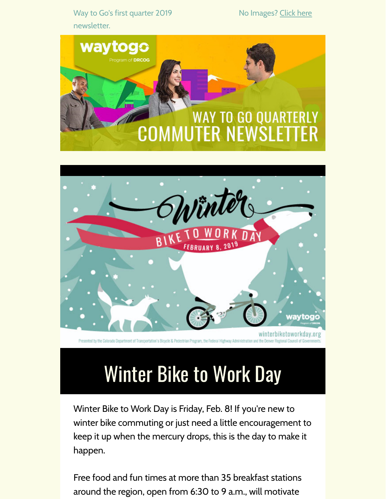Way to Go's first quarter 2019 newsletter.

No Images? [Click](https://drcog.createsend1.com/t/d-e-nkliudy-l-w/) here





Presented by the Colorado Department of Transportation's Bicycle & Pedestrian Program, the Federal Highway Administration and the Denver

### Winter Bike to Work Day

Winter Bike to Work Day is Friday, Feb. 8! If you're new to winter bike commuting or just need a little encouragement to keep it up when the mercury drops, this is the day to make it happen.

Free food and fun times at more than 35 breakfast stations around the region, open from 6:30 to 9 a.m., will motivate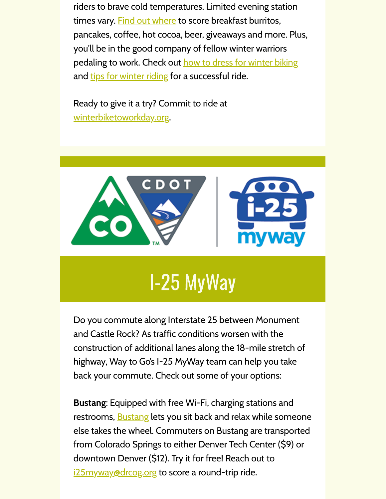riders to brave cold temperatures. Limited evening station times vary. Find out [where](https://drcog.createsend1.com/t/d-l-nkliudy-l-y/) to score breakfast burritos, pancakes, coffee, hot cocoa, beer, giveaways and more. Plus, you'll be in the good company of fellow winter warriors pedaling to work. Check out how to dress for [winter](https://drcog.createsend1.com/t/d-l-nkliudy-l-j/) biking and tips for [winter](https://drcog.createsend1.com/t/d-l-nkliudy-l-t/) riding for a successful ride.

Ready to give it a try? Commit to ride at [winterbiketoworkday.org](https://drcog.createsend1.com/t/d-l-nkliudy-l-i/).



## I-25 MyWay

Do you commute along Interstate 25 between Monument and Castle Rock? As traffic conditions worsen with the construction of additional lanes along the 18-mile stretch of highway, Way to Go's I-25 MyWay team can help you take back your commute. Check out some of your options:

**Bustang**: Equipped with free Wi-Fi, charging stations and restrooms, **[Bustang](https://drcog.createsend1.com/t/d-l-nkliudy-l-d/) lets you sit back and relax while someone** else takes the wheel. Commuters on Bustang are transported from Colorado Springs to either Denver Tech Center (\$9) or downtown Denver (\$12). Try it for free! Reach out to [i25myway@drcog.org](mailto:i25myway@drcog.org) to score a round-trip ride.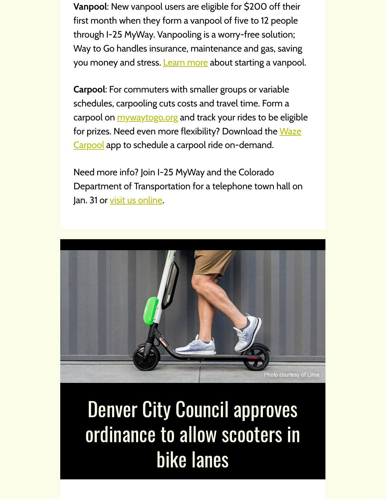**Vanpool**: New vanpool users are eligible for \$200 off their first month when they form a vanpool of five to 12 people through I-25 MyWay. Vanpooling is a worry-free solution; Way to Go handles insurance, maintenance and gas, saving you money and stress. **[Learn](https://drcog.createsend1.com/t/d-l-nkliudy-l-h/) more** about starting a vanpool.

**Carpool**: For commuters with smaller groups or variable schedules, carpooling cuts costs and travel time. Form a carpool on **[mywaytogo.org](https://drcog.createsend1.com/t/d-l-nkliudy-l-k/)** and track your rides to be eligible for prizes. Need even more flexibility? Download the Waze Carpool app to schedule a carpool ride [on-demand.](https://drcog.createsend1.com/t/d-l-nkliudy-l-u/)

Need more info? Join I-25 MyWay and the Colorado Department of Transportation for a telephone town hall on Jan. 31 or visit us [online.](https://drcog.createsend1.com/t/d-l-nkliudy-l-o/)



#### Denver City Council approves ordinance to allow scooters in bike lanes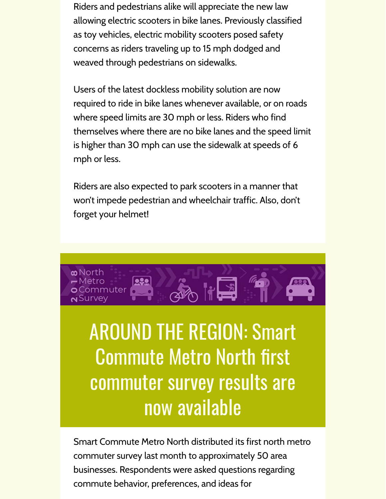Riders and pedestrians alike will appreciate the new law allowing electric scooters in bike lanes. Previously classified as toy vehicles, electric mobility scooters posed safety concerns as riders traveling up to 15 mph dodged and weaved through pedestrians on sidewalks.

Users of the latest dockless mobility solution are now required to ride in bike lanes whenever available, or on roads where speed limits are 30 mph or less. Riders who find themselves where there are no bike lanes and the speed limit is higher than 30 mph can use the sidewalk at speeds of 6 mph or less.

Riders are also expected to park scooters in a manner that won't impede pedestrian and wheelchair traffic. Also, don't forget your helmet!



### AROUND THE REGION: Smart **Commute Metro North first** commuter survey results are now available

Smart Commute Metro North distributed its first north metro commuter survey last month to approximately 50 area businesses. Respondents were asked questions regarding commute behavior, preferences, and ideas for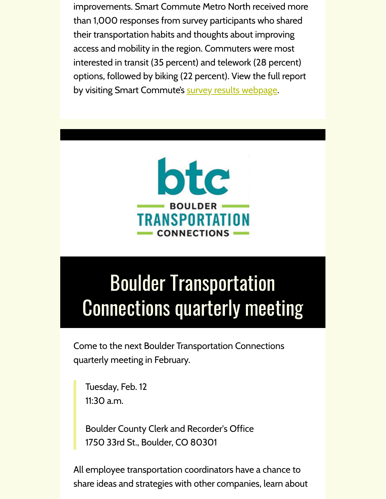improvements. Smart Commute Metro North received more than 1,000 responses from survey participants who shared their transportation habits and thoughts about improving access and mobility in the region. Commuters were most interested in transit (35 percent) and telework (28 percent) options, followed by biking (22 percent). View the full report by visiting Smart Commute's survey results [webpage](https://drcog.createsend1.com/t/d-l-nkliudy-l-m/).



## Boulder Transportation Connections quarterly meeting

Come to the next Boulder Transportation Connections quarterly meeting in February.

Tuesday, Feb. 12 11:30 a.m.

Boulder County Clerk and Recorder's Office 1750 33rd St., Boulder, CO 80301

All employee transportation coordinators have a chance to share ideas and strategies with other companies, learn about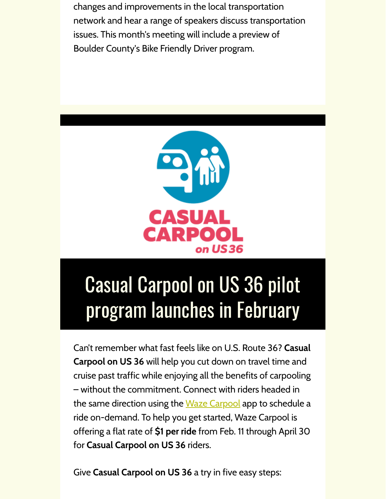changes and improvements in the local transportation network and hear a range of speakers discuss transportation issues. This month's meeting will include a preview of Boulder County's Bike Friendly Driver program.



# Casual Carpool on US 36 pilot program launches in February

Can't remember what fast feels like on U.S. Route 36? **Casual Carpool on US 36** will help you cut down on travel time and cruise past traffic while enjoying all the benefits of carpooling – without the commitment. Connect with riders headed in the same direction using the Waze [Carpool](https://drcog.createsend1.com/t/d-l-nkliudy-l-c/) app to schedule a ride on-demand. To help you get started, Waze Carpool is offering a flat rate of **\$1 per ride** from Feb. 11 through April 30 for **Casual Carpool on US 36** riders.

Give **Casual Carpool on US 36** a try in five easy steps: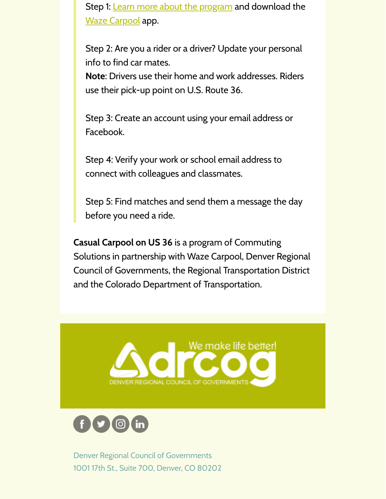Step 1: Learn more about the [program](https://drcog.createsend1.com/t/d-l-nkliudy-l-q/) and download the Waze [Carpool](https://drcog.createsend1.com/t/d-l-nkliudy-l-a/) app.

Step 2: Are you a rider or a driver? Update your personal info to find car mates.

**Note**: Drivers use their home and work addresses. Riders use their pick-up point on U.S. Route 36.

Step 3: Create an account using your email address or Facebook.

Step 4: Verify your work or school email address to connect with colleagues and classmates.

Step 5: Find matches and send them a message the day before you need a ride.

**Casual Carpool on US 36** is a program of Commuting Solutions in partnership with Waze Carpool, Denver Regional Council of Governments, the Regional Transportation District and the Colorado Department of Transportation.





Denver Regional Council of Governments 1001 17th St., Suite 700, Denver, CO 80202